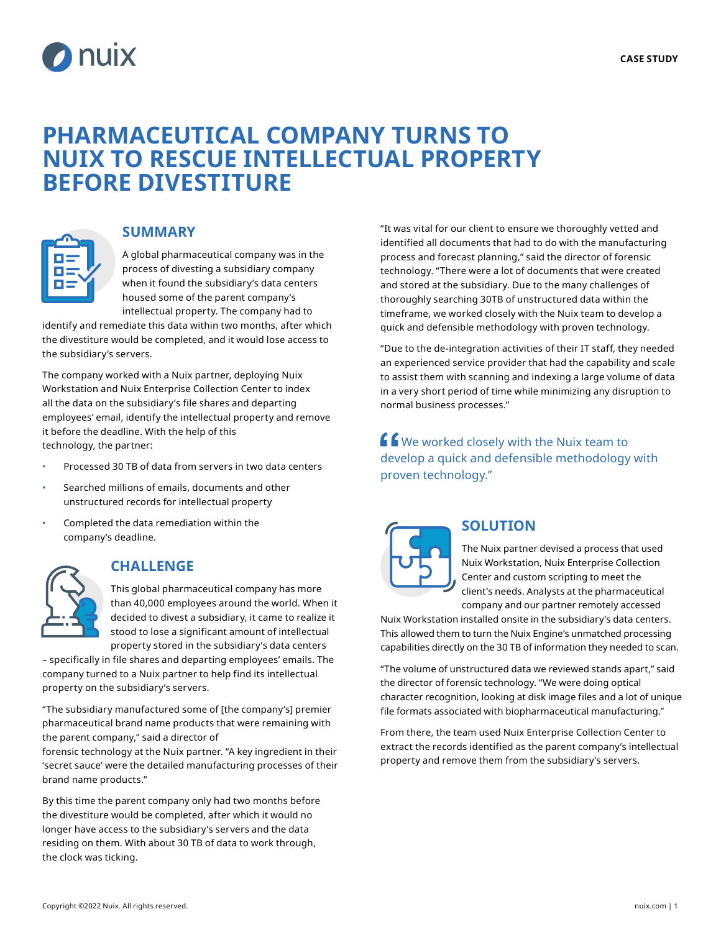

# **PHARMACEUTICAL COMPANY TURNS TO NUIX TO RESCUE INTELLECTUAL PROPERTY BEFORE DIVESTITURE**



### **SUMMARY**

A global pharmaceutical company was in the process of divesting a subsidiary company when it found the subsidiary's data centers housed some of the parent company's intellectual property. The company had to

identify and remediate this data within two months, after which the divestiture would be completed, and it would lose access to the subsidiary's servers.

The company worked with a Nuix partner, deploying Nuix Workstation and Nuix Enterprise Collection Center to index all the data on the subsidiary's file shares and departing employees' email, identify the intellectual property and remove it before the deadline. With the help of this technology, the partner:

- Processed 30 TB of data from servers in two data centers
- Searched millions of emails, documents and other unstructured records for intellectual property
- Completed the data remediation within the company's deadline.

## **CHALLENGE**

This global pharmaceutical company has more than 40,000 employees around the world. When it decided to divest a subsidiary, it came to realize it stood to lose a significant amount of intellectual property stored in the subsidiary's data centers

– specifically in file shares and departing employees' emails. The company turned to a Nuix partner to help find its intellectual property on the subsidiary's servers.

"The subsidiary manufactured some of [the company's] premier pharmaceutical brand name products that were remaining with the parent company," said a director of

forensic technology at the Nuix partner. "A key ingredient in their 'secret sauce' were the detailed manufacturing processes of their brand name products."

By this time the parent company only had two months before the divestiture would be completed, after which it would no longer have access to the subsidiary's servers and the data residing on them. With about 30 TB of data to work through, the clock was ticking.

"It was vital for our client to ensure we thoroughly vetted and identified all documents that had to do with the manufacturing process and forecast planning," said the director of forensic technology. "There were a lot of documents that were created and stored at the subsidiary. Due to the many challenges of thoroughly searching 30TB of unstructured data within the timeframe, we worked closely with the Nuix team to develop a quick and defensible methodology with proven technology.

"Due to the de-integration activities of their IT staff, they needed an experienced service provider that had the capability and scale to assist them with scanning and indexing a large volume of data in a very short period of time while minimizing any disruption to normal business processes."

**f f** We worked closely with the Nuix team to develop a quick and defensible methodology with proven technology."



## **SOLUTION**

The Nuix partner devised a process that used Nuix Workstation, Nuix Enterprise Collection Center and custom scripting to meet the client's needs. Analysts at the pharmaceutical company and our partner remotely accessed

Nuix Workstation installed onsite in the subsidiary's data centers. This allowed them to turn the Nuix Engine's unmatched processing capabilities directly on the 30 TB of information they needed to scan.

"The volume of unstructured data we reviewed stands apart," said the director of forensic technology. "We were doing optical character recognition, looking at disk image files and a lot of unique file formats associated with biopharmaceutical manufacturing."

From there, the team used Nuix Enterprise Collection Center to extract the records identified as the parent company's intellectual property and remove them from the subsidiary's servers.